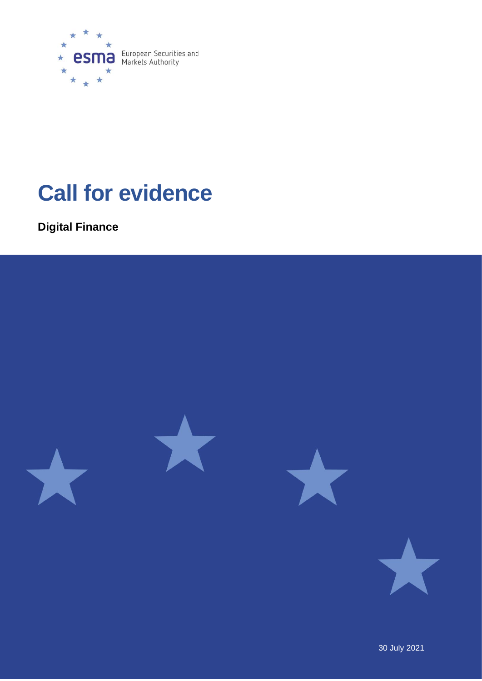

# **Call for evidence**

**Digital Finance** 

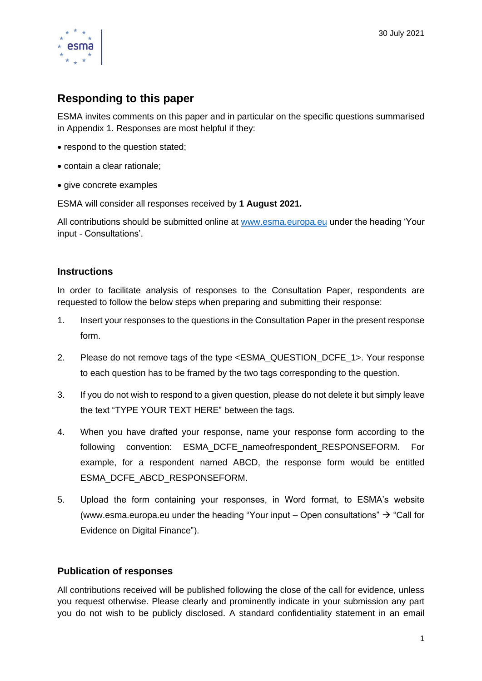

# **Responding to this paper**

ESMA invites comments on this paper and in particular on the specific questions summarised in Appendix 1. Responses are most helpful if they:

- respond to the question stated;
- contain a clear rationale;
- give concrete examples

ESMA will consider all responses received by **1 August 2021.** 

All contributions should be submitted online at [www.esma.europa.eu](http://www.esma.europa.eu/) under the heading 'Your input - Consultations'.

# **Instructions**

In order to facilitate analysis of responses to the Consultation Paper, respondents are requested to follow the below steps when preparing and submitting their response:

- 1. Insert your responses to the questions in the Consultation Paper in the present response form.
- 2. Please do not remove tags of the type <ESMA\_QUESTION\_DCFE\_1>. Your response to each question has to be framed by the two tags corresponding to the question.
- 3. If you do not wish to respond to a given question, please do not delete it but simply leave the text "TYPE YOUR TEXT HERE" between the tags.
- 4. When you have drafted your response, name your response form according to the following convention: ESMA\_DCFE\_nameofrespondent\_RESPONSEFORM. For example, for a respondent named ABCD, the response form would be entitled ESMA\_DCFE\_ABCD\_RESPONSEFORM.
- 5. Upload the form containing your responses, in Word format, to ESMA's website [\(www.esma.europa.eu](http://www.esma.europa.eu/) under the heading "Your input – Open consultations"  $\rightarrow$  "Call for Evidence on Digital Finance").

# **Publication of responses**

All contributions received will be published following the close of the call for evidence, unless you request otherwise. Please clearly and prominently indicate in your submission any part you do not wish to be publicly disclosed. A standard confidentiality statement in an email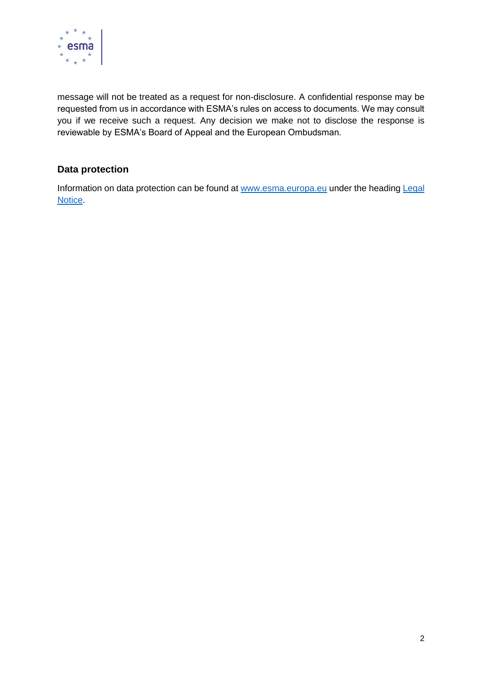

message will not be treated as a request for non-disclosure. A confidential response may be requested from us in accordance with ESMA's rules on access to documents. We may consult you if we receive such a request. Any decision we make not to disclose the response is reviewable by ESMA's Board of Appeal and the European Ombudsman.

# **Data protection**

Information on data protection can be found at [www.esma.europa.eu](http://www.esma.europa.eu/) under the heading Legal [Notice.](http://www.esma.europa.eu/legal-notice)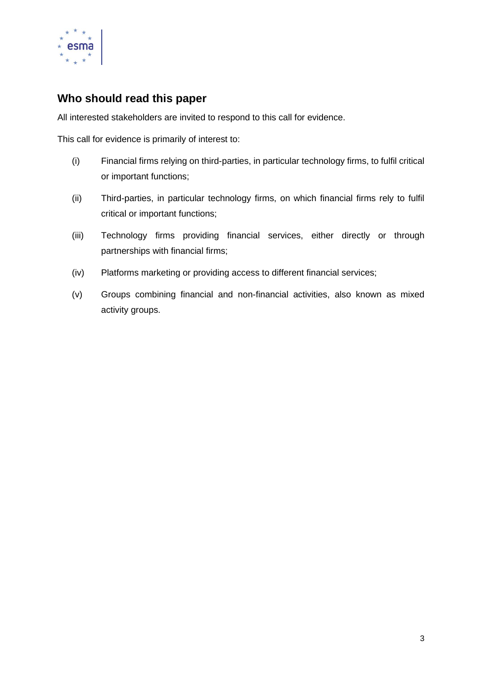

# **Who should read this paper**

All interested stakeholders are invited to respond to this call for evidence.

This call for evidence is primarily of interest to:

- (i) Financial firms relying on third-parties, in particular technology firms, to fulfil critical or important functions;
- (ii) Third-parties, in particular technology firms, on which financial firms rely to fulfil critical or important functions;
- (iii) Technology firms providing financial services, either directly or through partnerships with financial firms;
- (iv) Platforms marketing or providing access to different financial services;
- (v) Groups combining financial and non-financial activities, also known as mixed activity groups.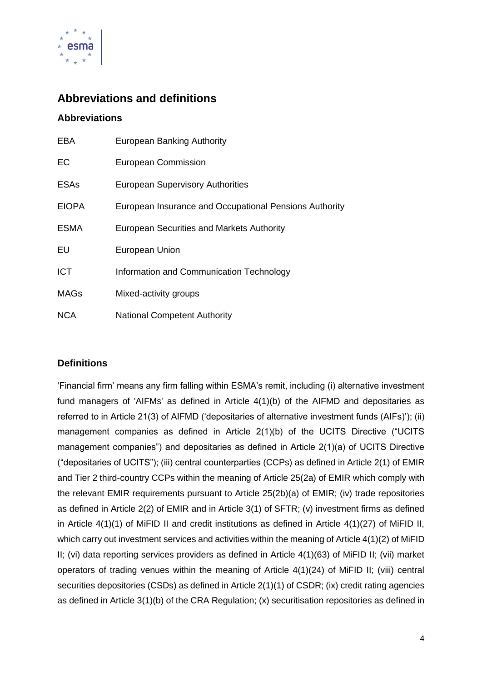

# **Abbreviations and definitions**

# **Abbreviations**

| <b>EBA</b>   | <b>European Banking Authority</b>                      |  |
|--------------|--------------------------------------------------------|--|
| EC           | <b>European Commission</b>                             |  |
| <b>ESAs</b>  | <b>European Supervisory Authorities</b>                |  |
| <b>EIOPA</b> | European Insurance and Occupational Pensions Authority |  |
| <b>ESMA</b>  | <b>European Securities and Markets Authority</b>       |  |
| EU           | European Union                                         |  |
| <b>ICT</b>   | Information and Communication Technology               |  |
| <b>MAGs</b>  | Mixed-activity groups                                  |  |
| <b>NCA</b>   | <b>National Competent Authority</b>                    |  |

# **Definitions**

'Financial firm' means any firm falling within ESMA's remit, including (i) alternative investment fund managers of 'AIFMs' as defined in Article 4(1)(b) of the AIFMD and depositaries as referred to in Article 21(3) of AIFMD ('depositaries of alternative investment funds (AIFs)'); (ii) management companies as defined in Article 2(1)(b) of the UCITS Directive ("UCITS management companies") and depositaries as defined in Article 2(1)(a) of UCITS Directive ("depositaries of UCITS"); (iii) central counterparties (CCPs) as defined in Article 2(1) of EMIR and Tier 2 third-country CCPs within the meaning of Article 25(2a) of EMIR which comply with the relevant EMIR requirements pursuant to Article 25(2b)(a) of EMIR; (iv) trade repositories as defined in Article 2(2) of EMIR and in Article 3(1) of SFTR; (v) investment firms as defined in Article 4(1)(1) of MiFID II and credit institutions as defined in Article 4(1)(27) of MiFID II, which carry out investment services and activities within the meaning of Article 4(1)(2) of MiFID II; (vi) data reporting services providers as defined in Article 4(1)(63) of MiFID II; (vii) market operators of trading venues within the meaning of Article 4(1)(24) of MiFID II; (viii) central securities depositories (CSDs) as defined in Article 2(1)(1) of CSDR; (ix) credit rating agencies as defined in Article 3(1)(b) of the CRA Regulation; (x) securitisation repositories as defined in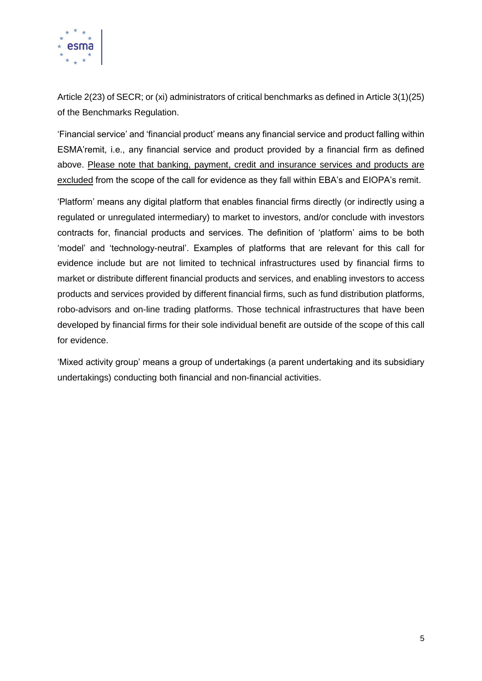

Article 2(23) of SECR; or (xi) administrators of critical benchmarks as defined in Article 3(1)(25) of the Benchmarks Regulation.

'Financial service' and 'financial product' means any financial service and product falling within ESMA'remit, i.e., any financial service and product provided by a financial firm as defined above. Please note that banking, payment, credit and insurance services and products are excluded from the scope of the call for evidence as they fall within EBA's and EIOPA's remit.

'Platform' means any digital platform that enables financial firms directly (or indirectly using a regulated or unregulated intermediary) to market to investors, and/or conclude with investors contracts for, financial products and services. The definition of 'platform' aims to be both 'model' and 'technology-neutral'. Examples of platforms that are relevant for this call for evidence include but are not limited to technical infrastructures used by financial firms to market or distribute different financial products and services, and enabling investors to access products and services provided by different financial firms, such as fund distribution platforms, robo-advisors and on-line trading platforms. Those technical infrastructures that have been developed by financial firms for their sole individual benefit are outside of the scope of this call for evidence.

'Mixed activity group' means a group of undertakings (a parent undertaking and its subsidiary undertakings) conducting both financial and non-financial activities.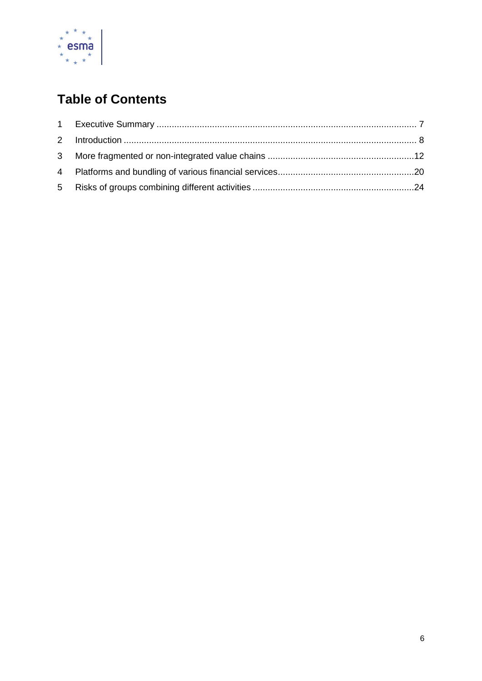

# **Table of Contents**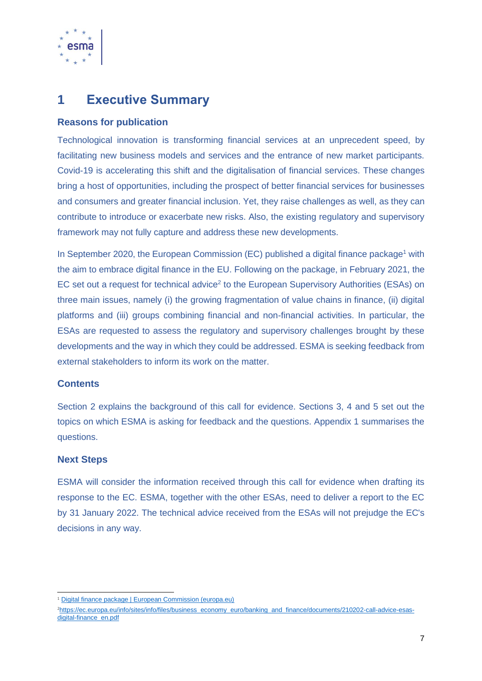

# <span id="page-7-0"></span>**1 Executive Summary**

# **Reasons for publication**

Technological innovation is transforming financial services at an unprecedent speed, by facilitating new business models and services and the entrance of new market participants. Covid-19 is accelerating this shift and the digitalisation of financial services. These changes bring a host of opportunities, including the prospect of better financial services for businesses and consumers and greater financial inclusion. Yet, they raise challenges as well, as they can contribute to introduce or exacerbate new risks. Also, the existing regulatory and supervisory framework may not fully capture and address these new developments.

In September 2020, the European Commission (EC) published a digital finance package<sup>1</sup> with the aim to embrace digital finance in the EU. Following on the package, in February 2021, the EC set out a request for technical advice<sup>2</sup> to the European Supervisory Authorities (ESAs) on three main issues, namely (i) the growing fragmentation of value chains in finance, (ii) digital platforms and (iii) groups combining financial and non-financial activities. In particular, the ESAs are requested to assess the regulatory and supervisory challenges brought by these developments and the way in which they could be addressed. ESMA is seeking feedback from external stakeholders to inform its work on the matter

### **Contents**

Section 2 explains the background of this call for evidence. Sections 3, 4 and 5 set out the topics on which ESMA is asking for feedback and the questions. Appendix 1 summarises the questions.

# **Next Steps**

ESMA will consider the information received through this call for evidence when drafting its response to the EC. ESMA, together with the other ESAs, need to deliver a report to the EC by 31 January 2022. The technical advice received from the ESAs will not prejudge the EC's decisions in any way.

<sup>&</sup>lt;sup>1</sup> [Digital finance package | European Commission \(europa.eu\)](https://ec.europa.eu/info/publications/200924-digital-finance-proposals_en)

<sup>2</sup>[https://ec.europa.eu/info/sites/info/files/business\\_economy\\_euro/banking\\_and\\_finance/documents/210202-call-advice-esas](https://ec.europa.eu/info/sites/info/files/business_economy_euro/banking_and_finance/documents/210202-call-advice-esas-digital-finance_en.pdf)[digital-finance\\_en.pdf](https://ec.europa.eu/info/sites/info/files/business_economy_euro/banking_and_finance/documents/210202-call-advice-esas-digital-finance_en.pdf)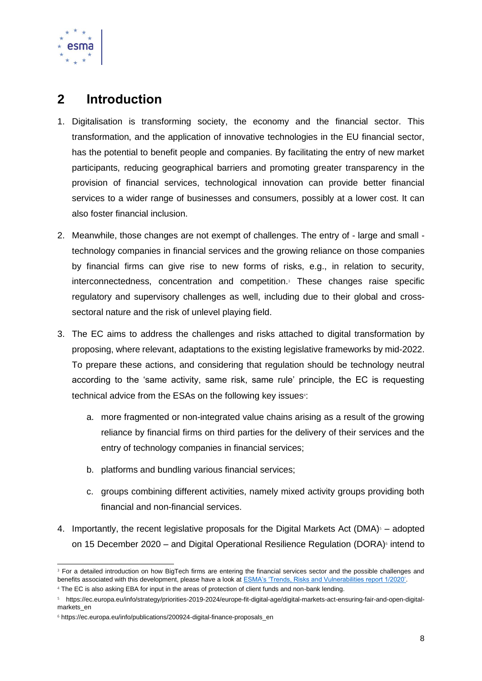

# <span id="page-8-0"></span>**2 Introduction**

- 1. Digitalisation is transforming society, the economy and the financial sector. This transformation, and the application of innovative technologies in the EU financial sector, has the potential to benefit people and companies. By facilitating the entry of new market participants, reducing geographical barriers and promoting greater transparency in the provision of financial services, technological innovation can provide better financial services to a wider range of businesses and consumers, possibly at a lower cost. It can also foster financial inclusion.
- 2. Meanwhile, those changes are not exempt of challenges. The entry of large and small technology companies in financial services and the growing reliance on those companies by financial firms can give rise to new forms of risks, e.g., in relation to security, interconnectedness, concentration and competition.<sup>3</sup> These changes raise specific regulatory and supervisory challenges as well, including due to their global and crosssectoral nature and the risk of unlevel playing field.
- 3. The EC aims to address the challenges and risks attached to digital transformation by proposing, where relevant, adaptations to the existing legislative frameworks by mid-2022. To prepare these actions, and considering that regulation should be technology neutral according to the 'same activity, same risk, same rule' principle, the EC is requesting technical advice from the ESAs on the following key issues<sup>4</sup>:
	- a. more fragmented or non-integrated value chains arising as a result of the growing reliance by financial firms on third parties for the delivery of their services and the entry of technology companies in financial services;
	- b. platforms and bundling various financial services;
	- c. groups combining different activities, namely mixed activity groups providing both financial and non-financial services.
- 4. Importantly, the recent legislative proposals for the Digital Markets Act (DMA) $5 -$  adopted on 15 December 2020 – and Digital Operational Resilience Regulation (DORA)<sup>6</sup> intend to

<sup>&</sup>lt;sup>3</sup> For a detailed introduction on how BigTech firms are entering the financial services sector and the possible challenges and benefits associated with this development, please have a look at [ESMA's 'Trends, Risks and Vulnerabilities report 1/2020'.](https://www.esma.europa.eu/sites/default/files/library/esma_50-165-1040_trv_no.1_2020.pdf) 

<sup>4</sup> The EC is also asking EBA for input in the areas of protection of client funds and non-bank lending.

<sup>5</sup> https://ec.europa.eu/info/strategy/priorities-2019-2024/europe-fit-digital-age/digital-markets-act-ensuring-fair-and-open-digitalmarkets\_en

<sup>6</sup> https://ec.europa.eu/info/publications/200924-digital-finance-proposals\_en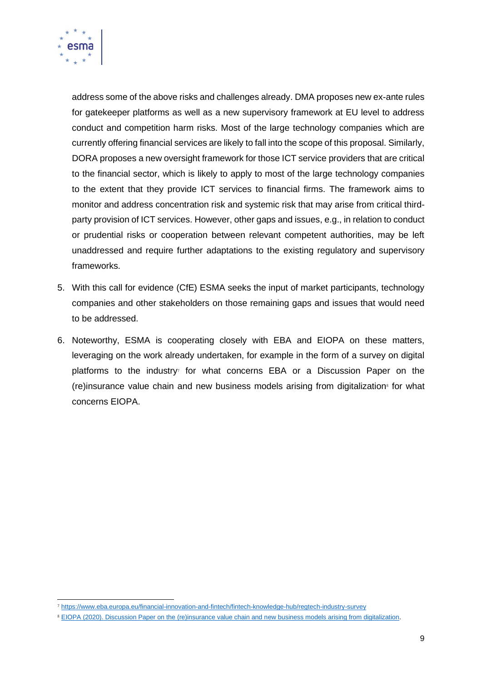

address some of the above risks and challenges already. DMA proposes new ex-ante rules for gatekeeper platforms as well as a new supervisory framework at EU level to address conduct and competition harm risks. Most of the large technology companies which are currently offering financial services are likely to fall into the scope of this proposal. Similarly, DORA proposes a new oversight framework for those ICT service providers that are critical to the financial sector, which is likely to apply to most of the large technology companies to the extent that they provide ICT services to financial firms. The framework aims to monitor and address concentration risk and systemic risk that may arise from critical thirdparty provision of ICT services. However, other gaps and issues, e.g., in relation to conduct or prudential risks or cooperation between relevant competent authorities, may be left unaddressed and require further adaptations to the existing regulatory and supervisory frameworks.

- 5. With this call for evidence (CfE) ESMA seeks the input of market participants, technology companies and other stakeholders on those remaining gaps and issues that would need to be addressed.
- 6. Noteworthy, ESMA is cooperating closely with EBA and EIOPA on these matters, leveraging on the work already undertaken, for example in the form of a survey on digital platforms to the industry<sup>7</sup> for what concerns EBA or a Discussion Paper on the (re)insurance value chain and new business models arising from digitalization<sup>®</sup> for what concerns EIOPA.

<sup>7</sup> [https://www.eba.europa.eu/financial-innovation-and-fintech/fintech-knowledge-hub/regtech-industry-survey](https://eur02.safelinks.protection.outlook.com/?url=https%3A%2F%2Fwww.eba.europa.eu%2Ffinancial-innovation-and-fintech%2Ffintech-knowledge-hub%2Fregtech-industry-survey&data=04%7C01%7CClaudia.FernandezGarcia%40esma.europa.eu%7C82cd95d1500c4e54e94f08d90e21aad4%7Ce406f2684ae74c80899402493da00c03%7C0%7C0%7C637556360043904822%7CUnknown%7CTWFpbGZsb3d8eyJWIjoiMC4wLjAwMDAiLCJQIjoiV2luMzIiLCJBTiI6Ik1haWwiLCJXVCI6Mn0%3D%7C1000&sdata=dE7BJ3QNMEZoxDX2LYv8dhkKYzpDzkCuq%2FrwiF8K9TA%3D&reserved=0)

<sup>&</sup>lt;sup>8</sup> [EIOPA \(2020\). Discussion Paper on the \(re\)insurance value chain and new business models arising from digitalization.](https://www.eiopa.europa.eu/sites/default/files/publications/consultations/discussion-paper-on-insurance-value-chain-and-new-business-models-arising-from-digitalisation.pdf)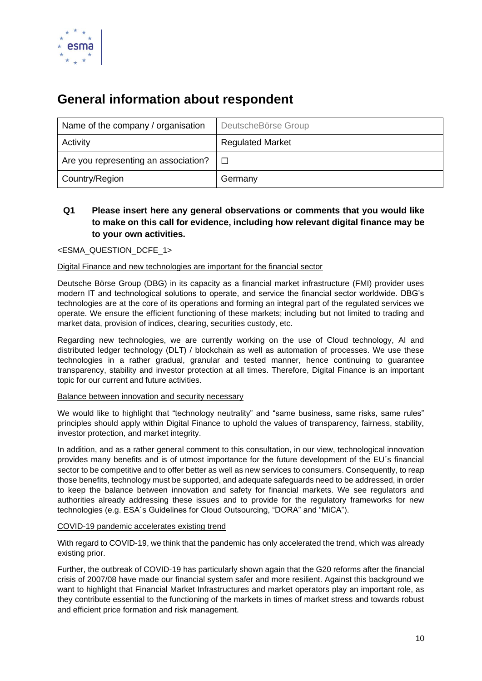

# **General information about respondent**

| Name of the company / organisation   | DeutscheBörse Group     |
|--------------------------------------|-------------------------|
| Activity                             | <b>Regulated Market</b> |
| Are you representing an association? | $\Box$                  |
| Country/Region                       | Germany                 |

# **Q1 Please insert here any general observations or comments that you would like to make on this call for evidence, including how relevant digital finance may be to your own activities.**

#### <ESMA\_QUESTION\_DCFE\_1>

#### Digital Finance and new technologies are important for the financial sector

Deutsche Börse Group (DBG) in its capacity as a financial market infrastructure (FMI) provider uses modern IT and technological solutions to operate, and service the financial sector worldwide. DBG's technologies are at the core of its operations and forming an integral part of the regulated services we operate. We ensure the efficient functioning of these markets; including but not limited to trading and market data, provision of indices, clearing, securities custody, etc.

Regarding new technologies, we are currently working on the use of Cloud technology, AI and distributed ledger technology (DLT) / blockchain as well as automation of processes. We use these technologies in a rather gradual, granular and tested manner, hence continuing to guarantee transparency, stability and investor protection at all times. Therefore, Digital Finance is an important topic for our current and future activities.

#### Balance between innovation and security necessary

We would like to highlight that "technology neutrality" and "same business, same risks, same rules" principles should apply within Digital Finance to uphold the values of transparency, fairness, stability, investor protection, and market integrity.

In addition, and as a rather general comment to this consultation, in our view, technological innovation provides many benefits and is of utmost importance for the future development of the EU´s financial sector to be competitive and to offer better as well as new services to consumers. Consequently, to reap those benefits, technology must be supported, and adequate safeguards need to be addressed, in order to keep the balance between innovation and safety for financial markets. We see regulators and authorities already addressing these issues and to provide for the regulatory frameworks for new technologies (e.g. ESA´s Guidelines for Cloud Outsourcing, "DORA" and "MiCA").

#### COVID-19 pandemic accelerates existing trend

With regard to COVID-19, we think that the pandemic has only accelerated the trend, which was already existing prior.

Further, the outbreak of COVID-19 has particularly shown again that the G20 reforms after the financial crisis of 2007/08 have made our financial system safer and more resilient. Against this background we want to highlight that Financial Market Infrastructures and market operators play an important role, as they contribute essential to the functioning of the markets in times of market stress and towards robust and efficient price formation and risk management.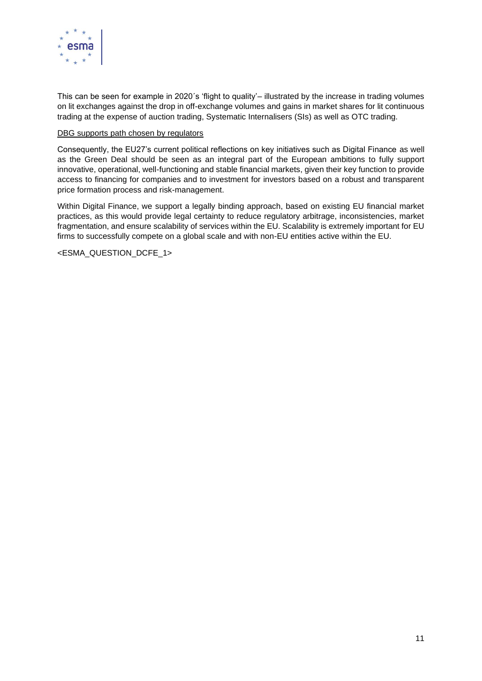

This can be seen for example in 2020´s 'flight to quality'– illustrated by the increase in trading volumes on lit exchanges against the drop in off-exchange volumes and gains in market shares for lit continuous trading at the expense of auction trading, Systematic Internalisers (SIs) as well as OTC trading.

#### DBG supports path chosen by regulators

Consequently, the EU27's current political reflections on key initiatives such as Digital Finance as well as the Green Deal should be seen as an integral part of the European ambitions to fully support innovative, operational, well-functioning and stable financial markets, given their key function to provide access to financing for companies and to investment for investors based on a robust and transparent price formation process and risk-management.

Within Digital Finance, we support a legally binding approach, based on existing EU financial market practices, as this would provide legal certainty to reduce regulatory arbitrage, inconsistencies, market fragmentation, and ensure scalability of services within the EU. Scalability is extremely important for EU firms to successfully compete on a global scale and with non-EU entities active within the EU.

<ESMA\_QUESTION\_DCFE\_1>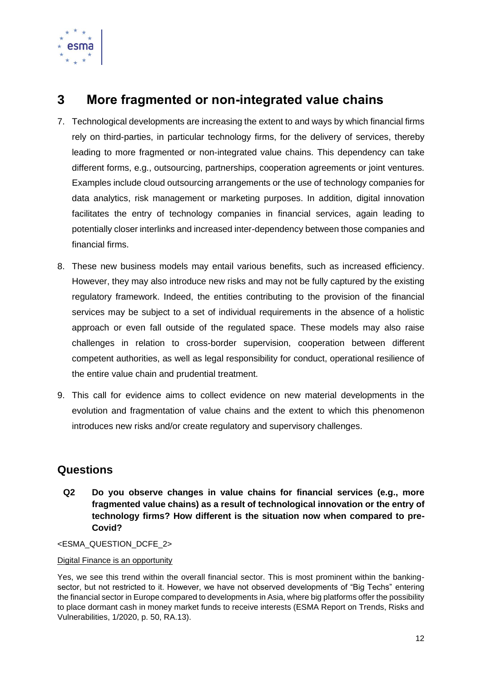

# <span id="page-12-0"></span>**3 More fragmented or non-integrated value chains**

- 7. Technological developments are increasing the extent to and ways by which financial firms rely on third-parties, in particular technology firms, for the delivery of services, thereby leading to more fragmented or non-integrated value chains. This dependency can take different forms, e.g., outsourcing, partnerships, cooperation agreements or joint ventures. Examples include cloud outsourcing arrangements or the use of technology companies for data analytics, risk management or marketing purposes. In addition, digital innovation facilitates the entry of technology companies in financial services, again leading to potentially closer interlinks and increased inter-dependency between those companies and financial firms.
- 8. These new business models may entail various benefits, such as increased efficiency. However, they may also introduce new risks and may not be fully captured by the existing regulatory framework. Indeed, the entities contributing to the provision of the financial services may be subject to a set of individual requirements in the absence of a holistic approach or even fall outside of the regulated space. These models may also raise challenges in relation to cross-border supervision, cooperation between different competent authorities, as well as legal responsibility for conduct, operational resilience of the entire value chain and prudential treatment.
- 9. This call for evidence aims to collect evidence on new material developments in the evolution and fragmentation of value chains and the extent to which this phenomenon introduces new risks and/or create regulatory and supervisory challenges.

# **Questions**

**Q2 Do you observe changes in value chains for financial services (e.g., more fragmented value chains) as a result of technological innovation or the entry of technology firms? How different is the situation now when compared to pre-Covid?**

<ESMA\_QUESTION\_DCFE\_2>

#### Digital Finance is an opportunity

Yes, we see this trend within the overall financial sector. This is most prominent within the bankingsector, but not restricted to it. However, we have not observed developments of "Big Techs" entering the financial sector in Europe compared to developments in Asia, where big platforms offer the possibility to place dormant cash in money market funds to receive interests (ESMA Report on Trends, Risks and Vulnerabilities, 1/2020, p. 50, RA.13).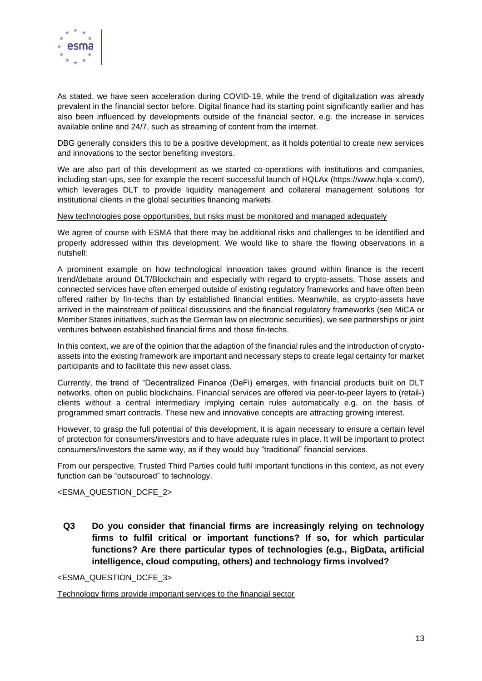

As stated, we have seen acceleration during COVID-19, while the trend of digitalization was already prevalent in the financial sector before. Digital finance had its starting point significantly earlier and has also been influenced by developments outside of the financial sector, e.g. the increase in services available online and 24/7, such as streaming of content from the internet.

DBG generally considers this to be a positive development, as it holds potential to create new services and innovations to the sector benefiting investors.

We are also part of this development as we started co-operations with institutions and companies, including start-ups, see for example the recent successful launch of HQLAx (https://www.hqla-x.com/), which leverages DLT to provide liquidity management and collateral management solutions for institutional clients in the global securities financing markets.

#### New technologies pose opportunities, but risks must be monitored and managed adequately

We agree of course with ESMA that there may be additional risks and challenges to be identified and properly addressed within this development. We would like to share the flowing observations in a nutshell:

A prominent example on how technological innovation takes ground within finance is the recent trend/debate around DLT/Blockchain and especially with regard to crypto-assets. Those assets and connected services have often emerged outside of existing regulatory frameworks and have often been offered rather by fin-techs than by established financial entities. Meanwhile, as crypto-assets have arrived in the mainstream of political discussions and the financial regulatory frameworks (see MiCA or Member States initiatives, such as the German law on electronic securities), we see partnerships or joint ventures between established financial firms and those fin-techs.

In this context, we are of the opinion that the adaption of the financial rules and the introduction of cryptoassets into the existing framework are important and necessary steps to create legal certainty for market participants and to facilitate this new asset class.

Currently, the trend of "Decentralized Finance (DeFi) emerges, with financial products built on DLT networks, often on public blockchains. Financial services are offered via peer-to-peer layers to (retail-) clients without a central intermediary implying certain rules automatically e.g. on the basis of programmed smart contracts. These new and innovative concepts are attracting growing interest.

However, to grasp the full potential of this development, it is again necessary to ensure a certain level of protection for consumers/investors and to have adequate rules in place. It will be important to protect consumers/investors the same way, as if they would buy "traditional" financial services.

From our perspective, Trusted Third Parties could fulfil important functions in this context, as not every function can be "outsourced" to technology.

<ESMA\_QUESTION\_DCFE\_2>

**Q3 Do you consider that financial firms are increasingly relying on technology firms to fulfil critical or important functions? If so, for which particular functions? Are there particular types of technologies (e.g., BigData, artificial intelligence, cloud computing, others) and technology firms involved?** 

<ESMA\_QUESTION\_DCFE\_3>

Technology firms provide important services to the financial sector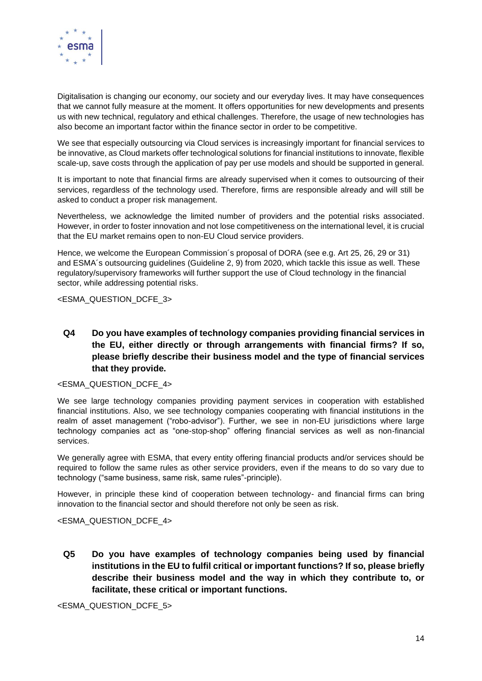

Digitalisation is changing our economy, our society and our everyday lives. It may have consequences that we cannot fully measure at the moment. It offers opportunities for new developments and presents us with new technical, regulatory and ethical challenges. Therefore, the usage of new technologies has also become an important factor within the finance sector in order to be competitive.

We see that especially outsourcing via Cloud services is increasingly important for financial services to be innovative, as Cloud markets offer technological solutions for financial institutions to innovate, flexible scale-up, save costs through the application of pay per use models and should be supported in general.

It is important to note that financial firms are already supervised when it comes to outsourcing of their services, regardless of the technology used. Therefore, firms are responsible already and will still be asked to conduct a proper risk management.

Nevertheless, we acknowledge the limited number of providers and the potential risks associated. However, in order to foster innovation and not lose competitiveness on the international level, it is crucial that the EU market remains open to non-EU Cloud service providers.

Hence, we welcome the European Commission´s proposal of DORA (see e.g. Art 25, 26, 29 or 31) and ESMA´s outsourcing guidelines (Guideline 2, 9) from 2020, which tackle this issue as well. These regulatory/supervisory frameworks will further support the use of Cloud technology in the financial sector, while addressing potential risks.

<ESMA\_QUESTION\_DCFE\_3>

**Q4 Do you have examples of technology companies providing financial services in the EU, either directly or through arrangements with financial firms? If so, please briefly describe their business model and the type of financial services that they provide.**

#### <ESMA\_QUESTION\_DCFE\_4>

We see large technology companies providing payment services in cooperation with established financial institutions. Also, we see technology companies cooperating with financial institutions in the realm of asset management ("robo-advisor"). Further, we see in non-EU jurisdictions where large technology companies act as "one-stop-shop" offering financial services as well as non-financial services.

We generally agree with ESMA, that every entity offering financial products and/or services should be required to follow the same rules as other service providers, even if the means to do so vary due to technology ("same business, same risk, same rules"-principle).

However, in principle these kind of cooperation between technology- and financial firms can bring innovation to the financial sector and should therefore not only be seen as risk.

#### <ESMA\_QUESTION\_DCFE\_4>

**Q5 Do you have examples of technology companies being used by financial institutions in the EU to fulfil critical or important functions? If so, please briefly describe their business model and the way in which they contribute to, or facilitate, these critical or important functions.**

<ESMA\_QUESTION\_DCFE\_5>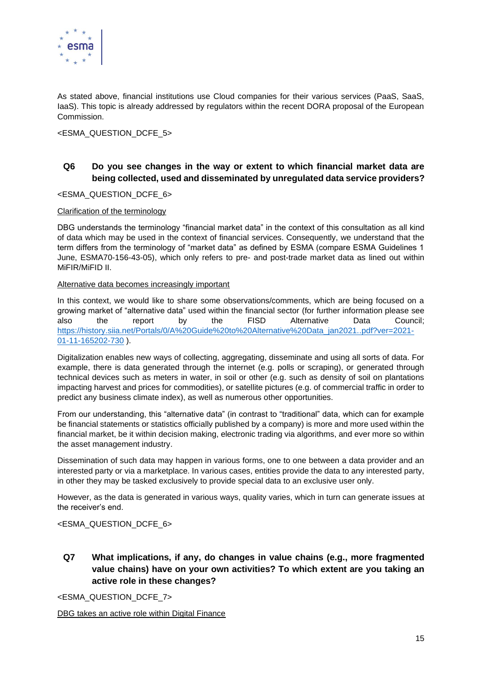

As stated above, financial institutions use Cloud companies for their various services (PaaS, SaaS, IaaS). This topic is already addressed by regulators within the recent DORA proposal of the European Commission.

<ESMA\_QUESTION\_DCFE\_5>

### **Q6 Do you see changes in the way or extent to which financial market data are being collected, used and disseminated by unregulated data service providers?**

#### <ESMA\_QUESTION\_DCFE\_6>

#### Clarification of the terminology

DBG understands the terminology "financial market data" in the context of this consultation as all kind of data which may be used in the context of financial services. Consequently, we understand that the term differs from the terminology of "market data" as defined by ESMA (compare ESMA Guidelines 1 June, ESMA70-156-43-05), which only refers to pre- and post-trade market data as lined out within MiFIR/MiFID II.

#### Alternative data becomes increasingly important

In this context, we would like to share some observations/comments, which are being focused on a growing market of "alternative data" used within the financial sector (for further information please see also the report by the FISD Alternative Data Council; [https://history.siia.net/Portals/0/A%20Guide%20to%20Alternative%20Data\\_jan2021..pdf?ver=2021-](https://history.siia.net/Portals/0/A%20Guide%20to%20Alternative%20Data_jan2021..pdf?ver=2021-01-11-165202-730) [01-11-165202-730](https://history.siia.net/Portals/0/A%20Guide%20to%20Alternative%20Data_jan2021..pdf?ver=2021-01-11-165202-730) ).

Digitalization enables new ways of collecting, aggregating, disseminate and using all sorts of data. For example, there is data generated through the internet (e.g. polls or scraping), or generated through technical devices such as meters in water, in soil or other (e.g. such as density of soil on plantations impacting harvest and prices for commodities), or satellite pictures (e.g. of commercial traffic in order to predict any business climate index), as well as numerous other opportunities.

From our understanding, this "alternative data" (in contrast to "traditional" data, which can for example be financial statements or statistics officially published by a company) is more and more used within the financial market, be it within decision making, electronic trading via algorithms, and ever more so within the asset management industry.

Dissemination of such data may happen in various forms, one to one between a data provider and an interested party or via a marketplace. In various cases, entities provide the data to any interested party, in other they may be tasked exclusively to provide special data to an exclusive user only.

However, as the data is generated in various ways, quality varies, which in turn can generate issues at the receiver's end.

#### <ESMA\_QUESTION\_DCFE\_6>

**Q7 What implications, if any, do changes in value chains (e.g., more fragmented value chains) have on your own activities? To which extent are you taking an active role in these changes?**

<ESMA\_QUESTION\_DCFE\_7>

DBG takes an active role within Digital Finance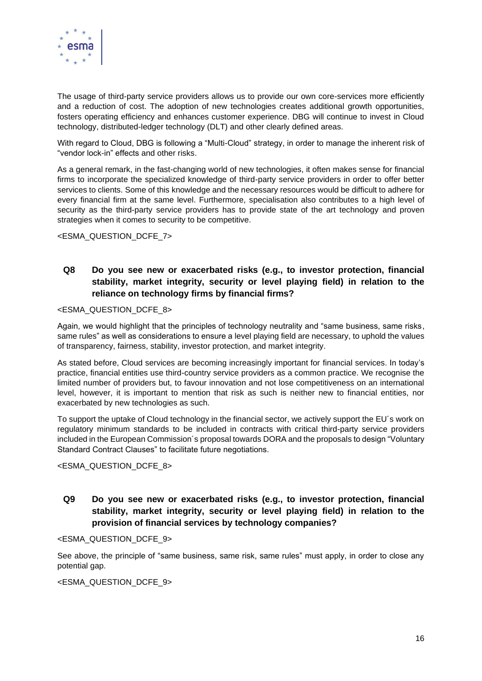

The usage of third-party service providers allows us to provide our own core-services more efficiently and a reduction of cost. The adoption of new technologies creates additional growth opportunities, fosters operating efficiency and enhances customer experience. DBG will continue to invest in Cloud technology, distributed-ledger technology (DLT) and other clearly defined areas.

With regard to Cloud, DBG is following a "Multi-Cloud" strategy, in order to manage the inherent risk of "vendor lock-in" effects and other risks.

As a general remark, in the fast-changing world of new technologies, it often makes sense for financial firms to incorporate the specialized knowledge of third-party service providers in order to offer better services to clients. Some of this knowledge and the necessary resources would be difficult to adhere for every financial firm at the same level. Furthermore, specialisation also contributes to a high level of security as the third-party service providers has to provide state of the art technology and proven strategies when it comes to security to be competitive.

<ESMA\_QUESTION\_DCFE\_7>

### **Q8 Do you see new or exacerbated risks (e.g., to investor protection, financial stability, market integrity, security or level playing field) in relation to the reliance on technology firms by financial firms?**

#### <ESMA\_QUESTION\_DCFE\_8>

Again, we would highlight that the principles of technology neutrality and "same business, same risks, same rules" as well as considerations to ensure a level playing field are necessary, to uphold the values of transparency, fairness, stability, investor protection, and market integrity.

As stated before, Cloud services are becoming increasingly important for financial services. In today's practice, financial entities use third-country service providers as a common practice. We recognise the limited number of providers but, to favour innovation and not lose competitiveness on an international level, however, it is important to mention that risk as such is neither new to financial entities, nor exacerbated by new technologies as such.

To support the uptake of Cloud technology in the financial sector, we actively support the EU´s work on regulatory minimum standards to be included in contracts with critical third-party service providers included in the European Commission´s proposal towards DORA and the proposals to design "Voluntary Standard Contract Clauses" to facilitate future negotiations.

<ESMA\_QUESTION\_DCFE\_8>

### **Q9 Do you see new or exacerbated risks (e.g., to investor protection, financial stability, market integrity, security or level playing field) in relation to the provision of financial services by technology companies?**

<ESMA\_QUESTION\_DCFE\_9>

See above, the principle of "same business, same risk, same rules" must apply, in order to close any potential gap.

<ESMA\_QUESTION\_DCFE\_9>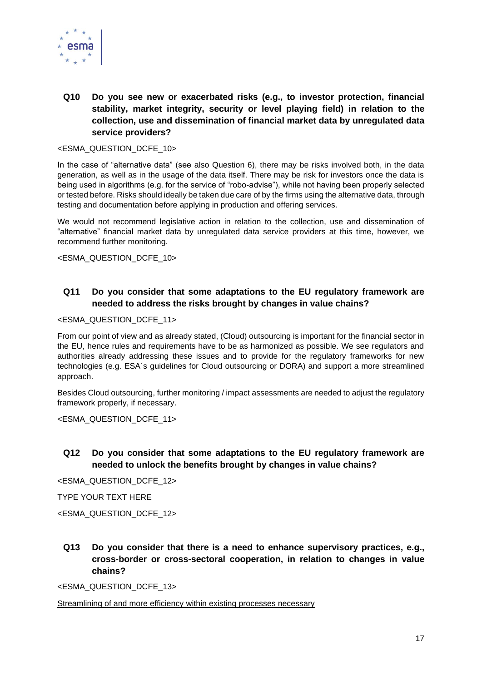

# **Q10 Do you see new or exacerbated risks (e.g., to investor protection, financial stability, market integrity, security or level playing field) in relation to the collection, use and dissemination of financial market data by unregulated data service providers?**

#### <ESMA\_QUESTION\_DCFE\_10>

In the case of "alternative data" (see also Question 6), there may be risks involved both, in the data generation, as well as in the usage of the data itself. There may be risk for investors once the data is being used in algorithms (e.g. for the service of "robo-advise"), while not having been properly selected or tested before. Risks should ideally be taken due care of by the firms using the alternative data, through testing and documentation before applying in production and offering services.

We would not recommend legislative action in relation to the collection, use and dissemination of "alternative" financial market data by unregulated data service providers at this time, however, we recommend further monitoring.

<ESMA\_QUESTION\_DCFE\_10>

### **Q11 Do you consider that some adaptations to the EU regulatory framework are needed to address the risks brought by changes in value chains?**

#### <ESMA\_QUESTION\_DCFE\_11>

From our point of view and as already stated, (Cloud) outsourcing is important for the financial sector in the EU, hence rules and requirements have to be as harmonized as possible. We see regulators and authorities already addressing these issues and to provide for the regulatory frameworks for new technologies (e.g. ESA´s guidelines for Cloud outsourcing or DORA) and support a more streamlined approach.

Besides Cloud outsourcing, further monitoring / impact assessments are needed to adjust the regulatory framework properly, if necessary.

<ESMA\_QUESTION\_DCFE\_11>

**Q12 Do you consider that some adaptations to the EU regulatory framework are needed to unlock the benefits brought by changes in value chains?**

<ESMA\_QUESTION\_DCFE\_12>

TYPE YOUR TEXT HERE

<ESMA\_QUESTION\_DCFE\_12>

**Q13 Do you consider that there is a need to enhance supervisory practices, e.g., cross-border or cross-sectoral cooperation, in relation to changes in value chains?**

<ESMA\_QUESTION\_DCFE\_13>

Streamlining of and more efficiency within existing processes necessary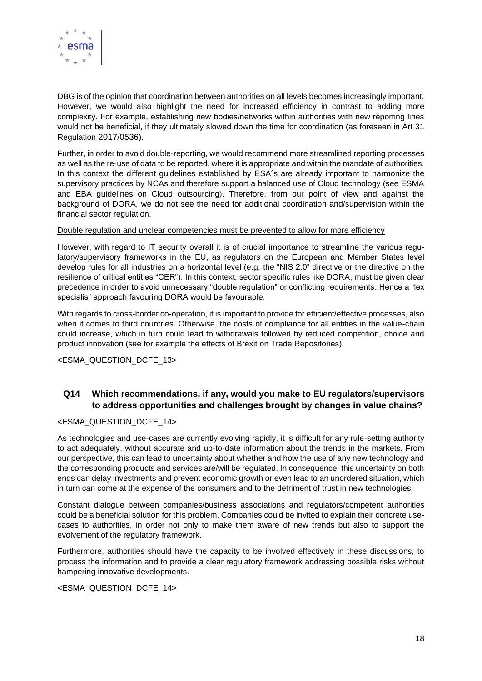

DBG is of the opinion that coordination between authorities on all levels becomes increasingly important. However, we would also highlight the need for increased efficiency in contrast to adding more complexity. For example, establishing new bodies/networks within authorities with new reporting lines would not be beneficial, if they ultimately slowed down the time for coordination (as foreseen in Art 31 Regulation 2017/0536).

Further, in order to avoid double-reporting, we would recommend more streamlined reporting processes as well as the re-use of data to be reported, where it is appropriate and within the mandate of authorities. In this context the different guidelines established by ESA's are already important to harmonize the supervisory practices by NCAs and therefore support a balanced use of Cloud technology (see ESMA and EBA guidelines on Cloud outsourcing). Therefore, from our point of view and against the background of DORA, we do not see the need for additional coordination and/supervision within the financial sector regulation.

#### Double regulation and unclear competencies must be prevented to allow for more efficiency

However, with regard to IT security overall it is of crucial importance to streamline the various regulatory/supervisory frameworks in the EU, as regulators on the European and Member States level develop rules for all industries on a horizontal level (e.g. the "NIS 2.0" directive or the directive on the resilience of critical entities "CER"). In this context, sector specific rules like DORA, must be given clear precedence in order to avoid unnecessary "double regulation" or conflicting requirements. Hence a "lex specialis" approach favouring DORA would be favourable.

With regards to cross-border co-operation, it is important to provide for efficient/effective processes, also when it comes to third countries. Otherwise, the costs of compliance for all entities in the value-chain could increase, which in turn could lead to withdrawals followed by reduced competition, choice and product innovation (see for example the effects of Brexit on Trade Repositories).

<ESMA\_QUESTION\_DCFE\_13>

### **Q14 Which recommendations, if any, would you make to EU regulators/supervisors to address opportunities and challenges brought by changes in value chains?**

#### <ESMA\_QUESTION\_DCFE\_14>

As technologies and use-cases are currently evolving rapidly, it is difficult for any rule-setting authority to act adequately, without accurate and up-to-date information about the trends in the markets. From our perspective, this can lead to uncertainty about whether and how the use of any new technology and the corresponding products and services are/will be regulated. In consequence, this uncertainty on both ends can delay investments and prevent economic growth or even lead to an unordered situation, which in turn can come at the expense of the consumers and to the detriment of trust in new technologies.

Constant dialogue between companies/business associations and regulators/competent authorities could be a beneficial solution for this problem. Companies could be invited to explain their concrete usecases to authorities, in order not only to make them aware of new trends but also to support the evolvement of the regulatory framework.

Furthermore, authorities should have the capacity to be involved effectively in these discussions, to process the information and to provide a clear regulatory framework addressing possible risks without hampering innovative developments.

#### <ESMA\_QUESTION\_DCFE\_14>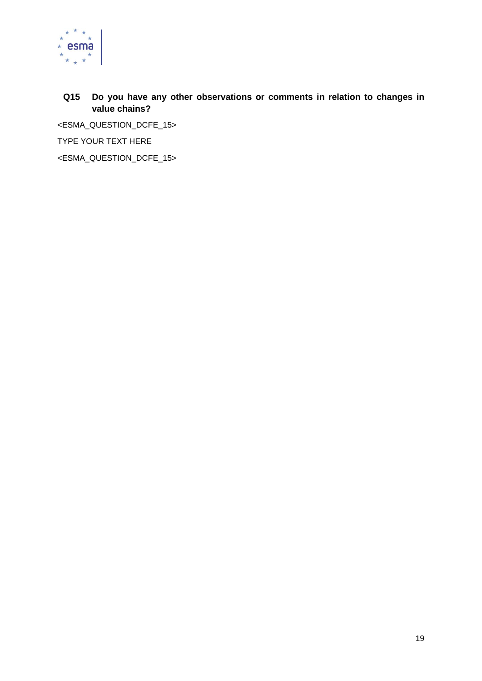

# **Q15 Do you have any other observations or comments in relation to changes in value chains?**

<ESMA\_QUESTION\_DCFE\_15>

TYPE YOUR TEXT HERE

<span id="page-19-0"></span><ESMA\_QUESTION\_DCFE\_15>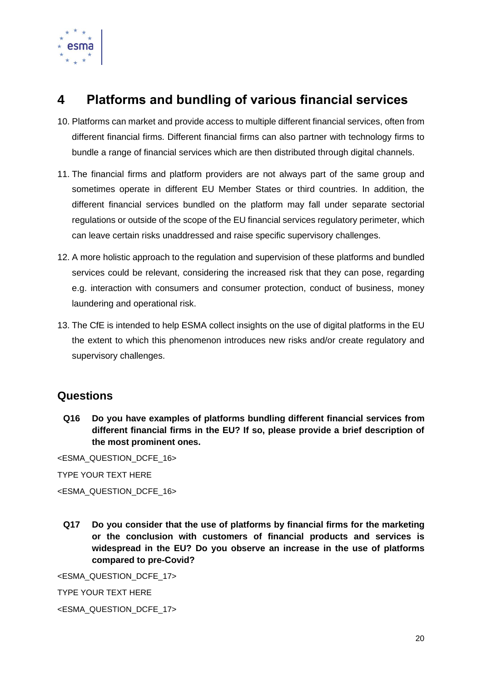

# **4 Platforms and bundling of various financial services**

- 10. Platforms can market and provide access to multiple different financial services, often from different financial firms. Different financial firms can also partner with technology firms to bundle a range of financial services which are then distributed through digital channels.
- 11. The financial firms and platform providers are not always part of the same group and sometimes operate in different EU Member States or third countries. In addition, the different financial services bundled on the platform may fall under separate sectorial regulations or outside of the scope of the EU financial services regulatory perimeter, which can leave certain risks unaddressed and raise specific supervisory challenges.
- 12. A more holistic approach to the regulation and supervision of these platforms and bundled services could be relevant, considering the increased risk that they can pose, regarding e.g. interaction with consumers and consumer protection, conduct of business, money laundering and operational risk.
- 13. The CfE is intended to help ESMA collect insights on the use of digital platforms in the EU the extent to which this phenomenon introduces new risks and/or create regulatory and supervisory challenges.

# **Questions**

**Q16 Do you have examples of platforms bundling different financial services from different financial firms in the EU? If so, please provide a brief description of the most prominent ones.**

<ESMA\_QUESTION\_DCFE\_16>

TYPE YOUR TEXT HERE

<ESMA\_QUESTION\_DCFE\_16>

**Q17 Do you consider that the use of platforms by financial firms for the marketing or the conclusion with customers of financial products and services is widespread in the EU? Do you observe an increase in the use of platforms compared to pre-Covid?**

<ESMA\_QUESTION\_DCFE\_17>

TYPE YOUR TEXT HERE

<ESMA\_QUESTION\_DCFE\_17>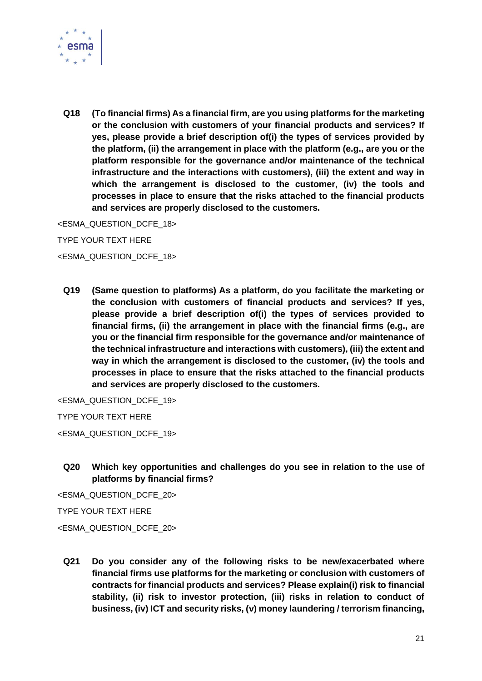

**Q18 (To financial firms) As a financial firm, are you using platforms for the marketing or the conclusion with customers of your financial products and services? If yes, please provide a brief description of(i) the types of services provided by the platform, (ii) the arrangement in place with the platform (e.g., are you or the platform responsible for the governance and/or maintenance of the technical infrastructure and the interactions with customers), (iii) the extent and way in which the arrangement is disclosed to the customer, (iv) the tools and processes in place to ensure that the risks attached to the financial products and services are properly disclosed to the customers.**

<ESMA\_QUESTION\_DCFE\_18>

TYPE YOUR TEXT HERE

<ESMA\_QUESTION\_DCFE\_18>

**Q19 (Same question to platforms) As a platform, do you facilitate the marketing or the conclusion with customers of financial products and services? If yes, please provide a brief description of(i) the types of services provided to financial firms, (ii) the arrangement in place with the financial firms (e.g., are you or the financial firm responsible for the governance and/or maintenance of the technical infrastructure and interactions with customers), (iii) the extent and way in which the arrangement is disclosed to the customer, (iv) the tools and processes in place to ensure that the risks attached to the financial products and services are properly disclosed to the customers.**

<ESMA\_QUESTION\_DCFE\_19>

TYPE YOUR TEXT HERE

<ESMA\_QUESTION\_DCFE\_19>

**Q20 Which key opportunities and challenges do you see in relation to the use of platforms by financial firms?**

<ESMA\_QUESTION\_DCFE\_20>

TYPE YOUR TEXT HERE

<ESMA\_QUESTION\_DCFE\_20>

**Q21 Do you consider any of the following risks to be new/exacerbated where financial firms use platforms for the marketing or conclusion with customers of contracts for financial products and services? Please explain(i) risk to financial stability, (ii) risk to investor protection, (iii) risks in relation to conduct of business, (iv) ICT and security risks, (v) money laundering / terrorism financing,**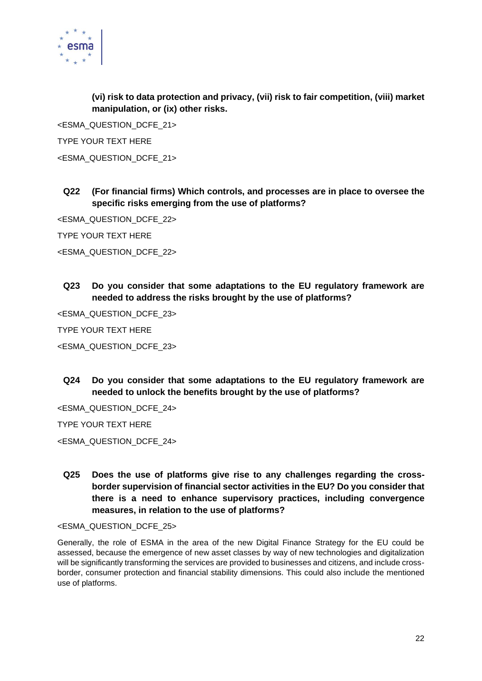

**(vi) risk to data protection and privacy, (vii) risk to fair competition, (viii) market manipulation, or (ix) other risks.**

<ESMA\_QUESTION\_DCFE\_21> TYPE YOUR TEXT HERE <ESMA\_QUESTION\_DCFE\_21>

# **Q22 (For financial firms) Which controls, and processes are in place to oversee the specific risks emerging from the use of platforms?**

<ESMA\_QUESTION\_DCFE\_22>

TYPE YOUR TEXT HERE

<ESMA\_QUESTION\_DCFE\_22>

**Q23 Do you consider that some adaptations to the EU regulatory framework are needed to address the risks brought by the use of platforms?** 

<ESMA\_QUESTION\_DCFE\_23>

TYPE YOUR TEXT HERE

<ESMA\_QUESTION\_DCFE\_23>

**Q24 Do you consider that some adaptations to the EU regulatory framework are needed to unlock the benefits brought by the use of platforms?**

<ESMA\_QUESTION\_DCFE\_24>

TYPE YOUR TEXT HERE

<ESMA\_QUESTION\_DCFE\_24>

**Q25 Does the use of platforms give rise to any challenges regarding the crossborder supervision of financial sector activities in the EU? Do you consider that there is a need to enhance supervisory practices, including convergence measures, in relation to the use of platforms?**

<ESMA\_QUESTION\_DCFE\_25>

Generally, the role of ESMA in the area of the new Digital Finance Strategy for the EU could be assessed, because the emergence of new asset classes by way of new technologies and digitalization will be significantly transforming the services are provided to businesses and citizens, and include crossborder, consumer protection and financial stability dimensions. This could also include the mentioned use of platforms.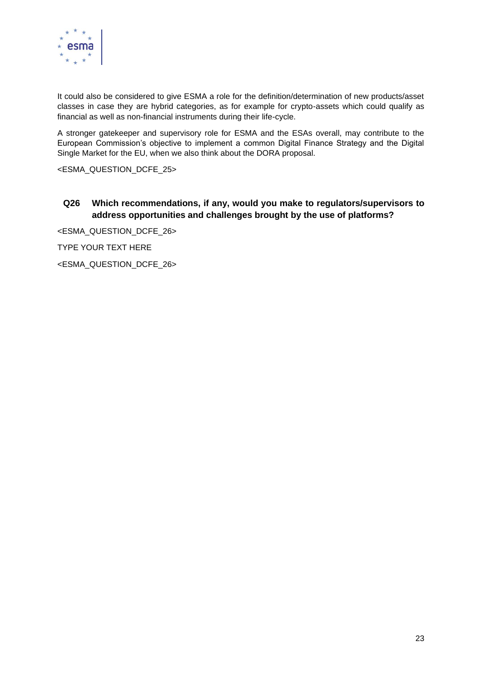

It could also be considered to give ESMA a role for the definition/determination of new products/asset classes in case they are hybrid categories, as for example for crypto-assets which could qualify as financial as well as non-financial instruments during their life-cycle.

A stronger gatekeeper and supervisory role for ESMA and the ESAs overall, may contribute to the European Commission's objective to implement a common Digital Finance Strategy and the Digital Single Market for the EU, when we also think about the DORA proposal.

<ESMA\_QUESTION\_DCFE\_25>

### **Q26 Which recommendations, if any, would you make to regulators/supervisors to address opportunities and challenges brought by the use of platforms?**

<ESMA\_QUESTION\_DCFE\_26>

TYPE YOUR TEXT HERE

<ESMA\_QUESTION\_DCFE\_26>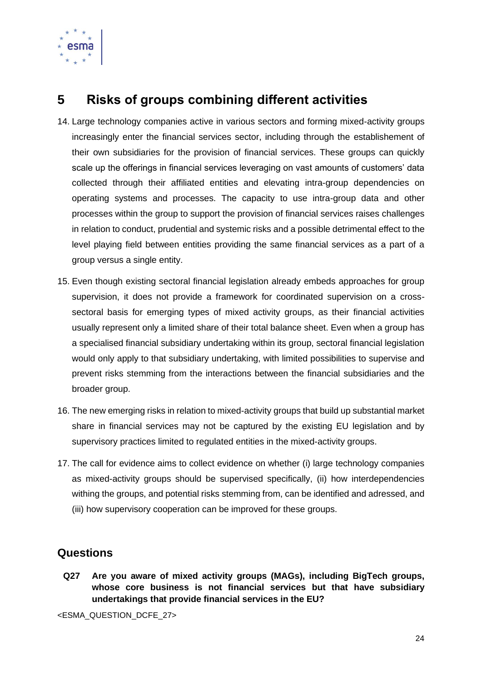

# <span id="page-24-0"></span>**5 Risks of groups combining different activities**

- 14. Large technology companies active in various sectors and forming mixed-activity groups increasingly enter the financial services sector, including through the establishement of their own subsidiaries for the provision of financial services. These groups can quickly scale up the offerings in financial services leveraging on vast amounts of customers' data collected through their affiliated entities and elevating intra-group dependencies on operating systems and processes. The capacity to use intra-group data and other processes within the group to support the provision of financial services raises challenges in relation to conduct, prudential and systemic risks and a possible detrimental effect to the level playing field between entities providing the same financial services as a part of a group versus a single entity.
- 15. Even though existing sectoral financial legislation already embeds approaches for group supervision, it does not provide a framework for coordinated supervision on a crosssectoral basis for emerging types of mixed activity groups, as their financial activities usually represent only a limited share of their total balance sheet. Even when a group has a specialised financial subsidiary undertaking within its group, sectoral financial legislation would only apply to that subsidiary undertaking, with limited possibilities to supervise and prevent risks stemming from the interactions between the financial subsidiaries and the broader group.
- 16. The new emerging risks in relation to mixed-activity groups that build up substantial market share in financial services may not be captured by the existing EU legislation and by supervisory practices limited to regulated entities in the mixed-activity groups.
- 17. The call for evidence aims to collect evidence on whether (i) large technology companies as mixed-activity groups should be supervised specifically, (ii) how interdependencies withing the groups, and potential risks stemming from, can be identified and adressed, and (iii) how supervisory cooperation can be improved for these groups.

# **Questions**

**Q27 Are you aware of mixed activity groups (MAGs), including BigTech groups, whose core business is not financial services but that have subsidiary undertakings that provide financial services in the EU?**

<ESMA\_QUESTION\_DCFE\_27>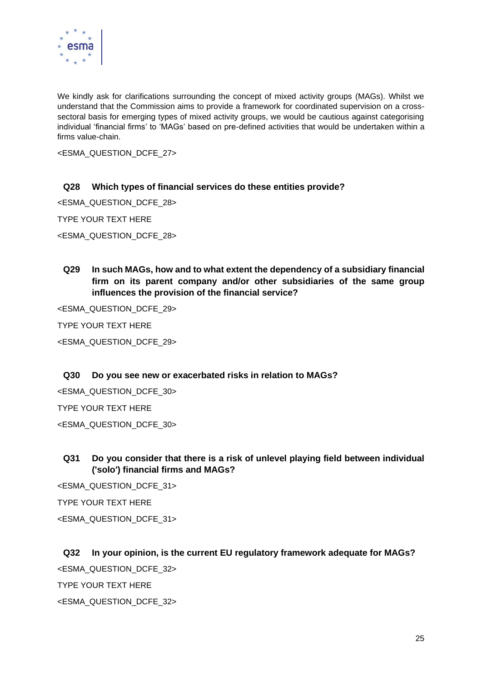

We kindly ask for clarifications surrounding the concept of mixed activity groups (MAGs). Whilst we understand that the Commission aims to provide a framework for coordinated supervision on a crosssectoral basis for emerging types of mixed activity groups, we would be cautious against categorising individual 'financial firms' to 'MAGs' based on pre-defined activities that would be undertaken within a firms value-chain.

<ESMA\_QUESTION\_DCFE\_27>

#### **Q28 Which types of financial services do these entities provide?**

<ESMA\_QUESTION\_DCFE\_28>

TYPE YOUR TEXT HERE

<ESMA\_QUESTION\_DCFE\_28>

**Q29 In such MAGs, how and to what extent the dependency of a subsidiary financial firm on its parent company and/or other subsidiaries of the same group influences the provision of the financial service?**

<ESMA\_QUESTION\_DCFE\_29>

TYPE YOUR TEXT HERE

<ESMA\_QUESTION\_DCFE\_29>

#### **Q30 Do you see new or exacerbated risks in relation to MAGs?**

<ESMA\_QUESTION\_DCFE\_30>

TYPE YOUR TEXT HERE

<ESMA\_QUESTION\_DCFE\_30>

### **Q31 Do you consider that there is a risk of unlevel playing field between individual ('solo') financial firms and MAGs?**

<ESMA\_QUESTION\_DCFE\_31> TYPE YOUR TEXT HERE <ESMA\_QUESTION\_DCFE\_31>

#### **Q32 In your opinion, is the current EU regulatory framework adequate for MAGs?**

<ESMA\_QUESTION\_DCFE\_32>

TYPE YOUR TEXT HERE

<ESMA\_QUESTION\_DCFE\_32>